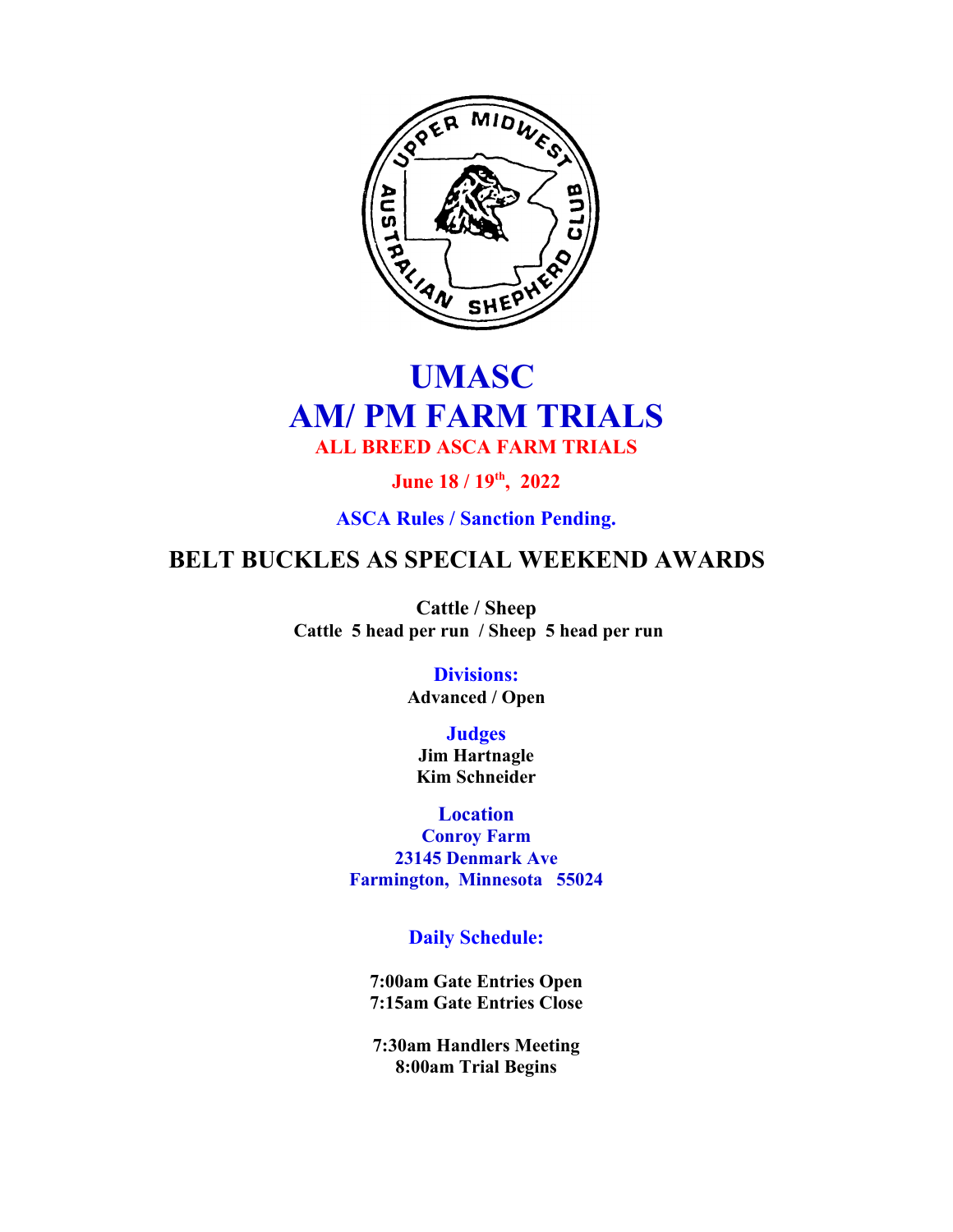

# **UMASC AM/ PM FARM TRIALS ALL BREED ASCA FARM TRIALS**

**June 18 / 19th, 2022**

**ASCA Rules / Sanction Pending.**

## **BELT BUCKLES AS SPECIAL WEEKEND AWARDS**

**Cattle / Sheep Cattle 5 head per run / Sheep 5 head per run**

> **Divisions: Advanced / Open**

**Judges Jim Hartnagle Kim Schneider**

**Location Conroy Farm 23145 Denmark Ave Farmington, Minnesota 55024**

**Daily Schedule:**

**7:00am Gate Entries Open 7:15am Gate Entries Close**

**7:30am Handlers Meeting 8:00am Trial Begins**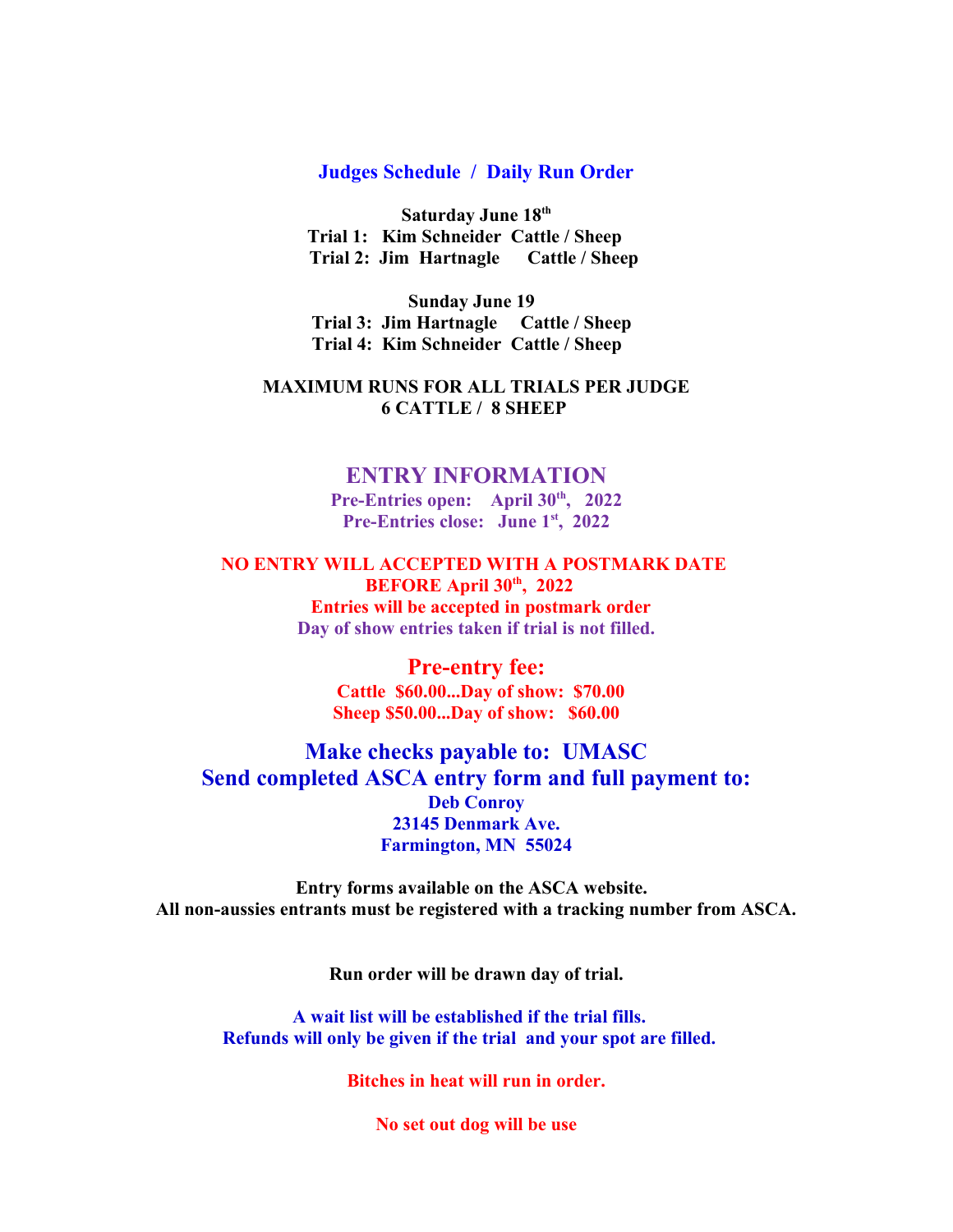#### **Judges Schedule / Daily Run Order**

**Saturday June 18th Trial 1: Kim Schneider Cattle / Sheep Trial 2: Jim Hartnagle Cattle / Sheep** 

**Sunday June 19 Trial 3: Jim Hartnagle Cattle / Sheep Trial 4: Kim Schneider Cattle / Sheep** 

#### **MAXIMUM RUNS FOR ALL TRIALS PER JUDGE 6 CATTLE / 8 SHEEP**

### **ENTRY INFORMATION**

**Pre-Entries open: April 30th, 2022 Pre-Entries close: June 1st, 2022**

**NO ENTRY WILL ACCEPTED WITH A POSTMARK DATE BEFORE April 30th, 2022 Entries will be accepted in postmark order Day of show entries taken if trial is not filled.**

> **Pre-entry fee: Cattle \$60.00...Day of show: \$70.00 Sheep \$50.00...Day of show: \$60.00**

## **Make checks payable to: UMASC Send completed ASCA entry form and full payment to: Deb Conroy 23145 Denmark Ave. Farmington, MN 55024**

**Entry forms available on the ASCA website. All non-aussies entrants must be registered with a tracking number from ASCA.**

**Run order will be drawn day of trial.**

**A wait list will be established if the trial fills. Refunds will only be given if the trial and your spot are filled.** 

**Bitches in heat will run in order.**

**No set out dog will be use**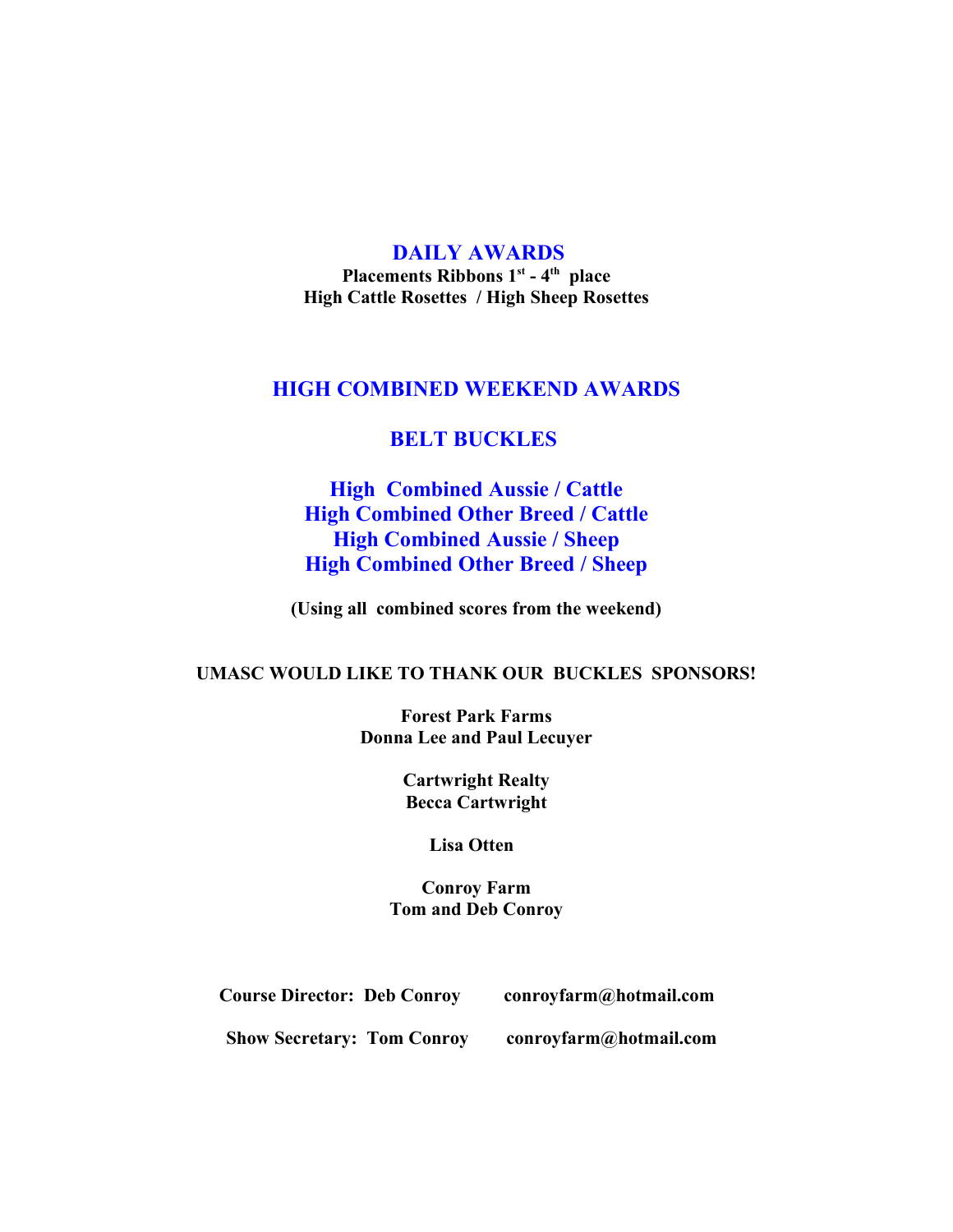## **DAILY AWARDS**

**Placements Ribbons 1st - 4th place High Cattle Rosettes / High Sheep Rosettes**

## **HIGH COMBINED WEEKEND AWARDS**

## **BELT BUCKLES**

## **High Combined Aussie / Cattle High Combined Other Breed / Cattle High Combined Aussie / Sheep High Combined Other Breed / Sheep**

**(Using all combined scores from the weekend)**

### **UMASC WOULD LIKE TO THANK OUR BUCKLES SPONSORS!**

**Forest Park Farms Donna Lee and Paul Lecuyer**

> **Cartwright Realty Becca Cartwright**

> > **Lisa Otten**

**Conroy Farm Tom and Deb Conroy**

| <b>Course Director: Deb Conroy</b> | conroyfarm@hotmail.com |
|------------------------------------|------------------------|
|                                    |                        |

**Show Secretary: Tom Conroy conroyfarm@hotmail.com**